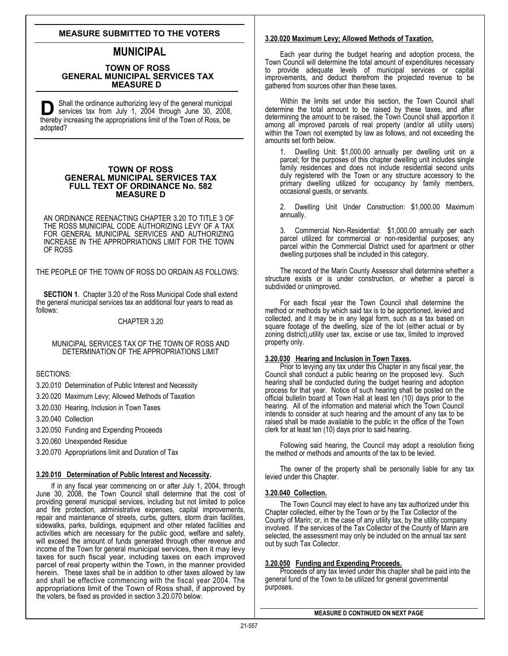# **MEASURE SUBMITTED TO THE VOTERS**

# **MUNICIPAL**

### **TOWN OF ROSS GENERAL MUNICIPAL SERVICES TAX MEASURE D**

S hall the ordinance authorizing levy of the general municipal **D** Shall the ordinance authorizing levy of the general municipa services tax from July 1, 2004 through June 30, 2008 thereby increasing the appropriations limit of the Town of Ross, be services tax from July 1, 2004 through June 30, 2008, adopted?

### **TOWN OF ROSS GENERAL MUNICIPAL SERVICES TAX FULL TEXT OF ORDINANCE No. 582 MEASURE D**

AN ORDINANCE REENACTING CHAPTER 3.20 TO TITLE 3 OF THE ROSS MUNICIPAL CODE AUTHORIZING LEVY OF A TAX FOR GENERAL MUNICIPAL SERVICES AND AUTHORIZING INCREASE IN THE APPROPRIATIONS LIMIT FOR THE TOWN OF ROSS

THE PEOPLE OF THE TOWN OF ROSS DO ORDAIN AS FOLLOWS:

**SECTION 1**. Chapter 3.20 of the Ross Municipal Code shall extend the general municipal services tax an additional four years to read as follows:

### CHAPTER 3.20

#### MUNICIPAL SERVICES TAX OF THE TOWN OF ROSS AND DETERMINATION OF THE APPROPRIATIONS LIMIT

SECTIONS:

3.20.010 Determination of Public Interest and Necessity

3.20.020 Maximum Levy; Allowed Methods of Taxation

3.20.030 Hearing, Inclusion in Town Taxes

3.20.040 Collection

3.20.050 Funding and Expending Proceeds

3.20.060 Unexpended Residue

3.20.070 Appropriations limit and Duration of Tax

### **3.20.010 Determination of Public Interest and Necessity.**

If in any fiscal year commencing on or after July 1, 2004, through June 30, 2008, the Town Council shall determine that the cost of providing general municipal services, including but not limited to police and fire protection, administrative expenses, capital improvements, repair and maintenance of streets, curbs, gutters, storm drain facilities, sidewalks, parks, buildings, equipment and other related facilities and activities which are necessary for the public good, welfare and safety, will exceed the amount of funds generated through other revenue and income of the Town for general municipal services, then it may levy taxes for such fiscal year, including taxes on each improved parcel of real property within the Town, in the manner provided herein. These taxes shall be in addition to other taxes allowed by law and shall be effective commencing with the fiscal year 2004. The appropriations limit of the Town of Ross shall, if approved by the voters, be fixed as provided in section 3.20.070 below.

#### **3.20.020 Maximum Levy; Allowed Methods of Taxation.**

 Each year during the budget hearing and adoption process, the Town Council will determine the total amount of expenditures necessary to provide adequate levels of municipal services or capital improvements, and deduct therefrom the projected revenue to be gathered from sources other than these taxes.

Within the limits set under this section, the Town Council shall determine the total amount to be raised by these taxes, and after determining the amount to be raised, the Town Council shall apportion it among all improved parcels of real property (and/or all utility users) within the Town not exempted by law as follows, and not exceeding the amounts set forth below.

Dwelling Unit: \$1,000.00 annually per dwelling unit on a parcel; for the purposes of this chapter dwelling unit includes single family residences and does not include residential second units duly registered with the Town or any structure accessory to the primary dwelling utilized for occupancy by family members, occasional guests, or servants.

2. Dwelling Unit Under Construction: \$1,000.00 Maximum annually.

3. Commercial Non-Residential: \$1,000.00 annually per each parcel utilized for commercial or non-residential purposes; any parcel within the Commercial District used for apartment or other dwelling purposes shall be included in this category.

The record of the Marin County Assessor shall determine whether a structure exists or is under construction, or whether a parcel is subdivided or unimproved.

For each fiscal year the Town Council shall determine the method or methods by which said tax is to be apportioned, levied and collected, and it may be in any legal form, such as a tax based on square footage of the dwelling, size of the lot (either actual or by zoning district),utility user tax, excise or use tax, limited to improved property only.

### **3.20.030 Hearing and Inclusion in Town Taxes.**

Prior to levying any tax under this Chapter in any fiscal year, the Council shall conduct a public hearing on the proposed levy. Such hearing shall be conducted during the budget hearing and adoption process for that year. Notice of such hearing shall be posted on the official bulletin board at Town Hall at least ten (10) days prior to the hearing. All of the information and material which the Town Council intends to consider at such hearing and the amount of any tax to be raised shall be made available to the public in the office of the Town clerk for at least ten (10) days prior to said hearing.

 Following said hearing, the Council may adopt a resolution fixing the method or methods and amounts of the tax to be levied.

The owner of the property shall be personally liable for any tax levied under this Chapter.

#### **3.20.040 Collection.**

The Town Council may elect to have any tax authorized under this Chapter collected, either by the Town or by the Tax Collector of the County of Marin; or, in the case of any utility tax, by the utility company involved. If the services of the Tax Collector of the County of Marin are selected, the assessment may only be included on the annual tax sent out by such Tax Collector.

#### **3.20.050 Funding and Expending Proceeds.**

Proceeds of any tax levied under this chapter shall be paid into the general fund of the Town to be utilized for general governmental purposes.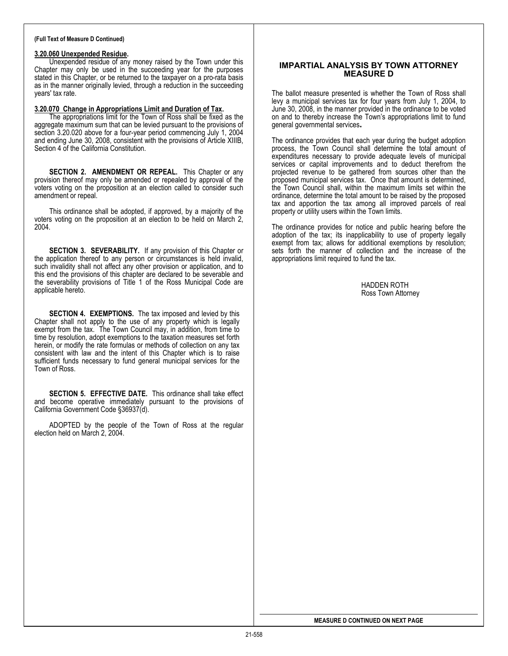#### **(Full Text of Measure D Continued)**

#### **3.20.060 Unexpended Residue.**

Unexpended residue of any money raised by the Town under this Chapter may only be used in the succeeding year for the purposes stated in this Chapter, or be returned to the taxpayer on a pro-rata basis as in the manner originally levied, through a reduction in the succeeding years' tax rate.

#### **3.20.070 Change in Appropriations Limit and Duration of Tax.**

The appropriations limit for the Town of Ross shall be fixed as the aggregate maximum sum that can be levied pursuant to the provisions of section 3.20.020 above for a four-year period commencing July 1, 2004 a nd ending June 30, 2008, consistent with the provisions of Article XIIIB, Section 4 of the California Constitution.

**SECTION 2. AMENDMENT OR REPEAL.** This Chapter or any provision thereof may only be amended or repealed by approval of the voters voting on the proposition at an election called to consider such amendment or repeal.

This ordinance shall be adopted, if approved, by a majority of the voters voting on the proposition at an election to be held on March 2, 2004.

**SECTION 3. SEVERABILITY.** If any provision of this Chapter or the application thereof to any person or circumstances is held invalid, such inv alidity shall not affect any other provision or application, and to th is end the provisions of this chapter are declared to be severable and th e severability provisions of Title 1 of the Ross Municipal Code are applicable hereto.

**SECTION 4. EXEMPTIONS.** The tax imposed and levied by this Chapter shall not apply to the use of any property which is legally exempt from the tax . The Town Council may, in addition, from time to ti me by resolution, adopt exemptions to the taxation measures set forth h erein, or modify the rate formulas or methods of collection on any tax consistent with law and the intent of this Chapter which is to raise sufficient funds necessary to fund general municipal services for the Town of Ross.

**SECTION 5. EFFECTIVE DATE.** This ordinance shall take effect and become operative immediately pursuant to the provisions of California Government Code §36937(d).

election held on March 2, 2004. ADOPTED by the people of the Town of Ross at the regular

### **IMPARTIAL ANALYSIS BY TOWN ATTORNEY MEASURE D**

The ballot measure presented is whether the Town of Ross shall levy a municipal services tax for four years from July 1, 2004, to June 30, 2008, in the manner provided in the ordinance to be voted on and to thereby increase the Town's appropriations limit to fund general governmental services**.** 

The ordinance provides that each year during the budget adoption process, the Town Council shall determine the total amount of expenditures necessary to provide adequate levels of municipal services or capital improvements and to deduct therefrom the projected revenue to be gathered from sources other than the proposed municipal services tax. Once that amount is determined, the Town Council shall, within the maximum limits set within the ordinance, determine the total amount to be raised by the proposed tax and apportion the tax among all improved parcels of real property or utility users within the Town limits.

The ordinance provides for notice and public hearing before the adoption of the tax; its inapplicability to use of property legally exempt from tax; allows for additional exemptions by resolution; sets forth the manner of collection and the increase of the appropriations limit required to fund the tax.

> HADDEN ROTH Ross Town Attorney

**MEASURE D CONTINUED ON NEXT PAGE**